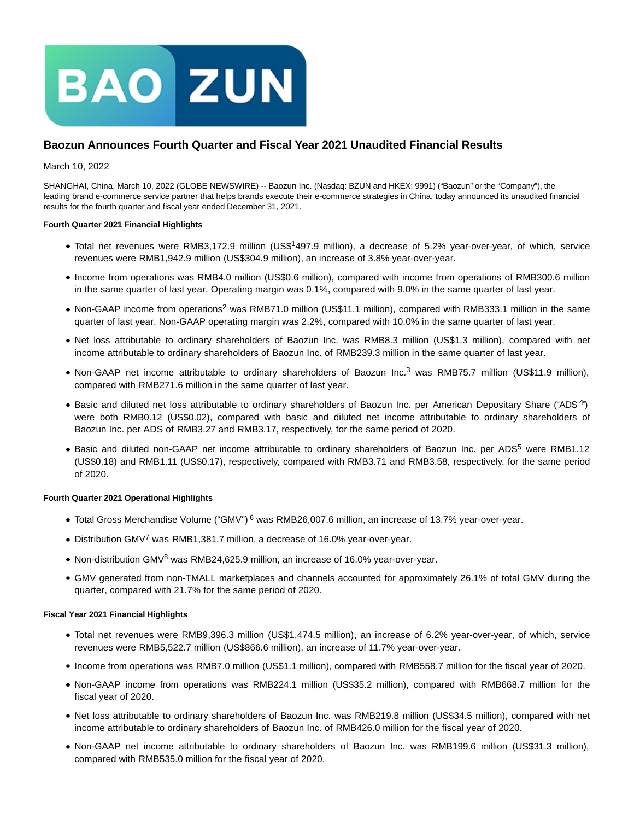

# **Baozun Announces Fourth Quarter and Fiscal Year 2021 Unaudited Financial Results**

## March 10, 2022

SHANGHAI, China, March 10, 2022 (GLOBE NEWSWIRE) -- Baozun Inc. (Nasdaq: BZUN and HKEX: 9991) ("Baozun" or the "Company"), the leading brand e-commerce service partner that helps brands execute their e-commerce strategies in China, today announced its unaudited financial results for the fourth quarter and fiscal year ended December 31, 2021.

## **Fourth Quarter 2021 Financial Highlights**

- Total net revenues were RMB3,172.9 million (US\$1497.9 million), a decrease of 5.2% year-over-year, of which, service revenues were RMB1,942.9 million (US\$304.9 million), an increase of 3.8% year-over-year.
- Income from operations was RMB4.0 million (US\$0.6 million), compared with income from operations of RMB300.6 million in the same quarter of last year. Operating margin was 0.1%, compared with 9.0% in the same quarter of last year.
- Non-GAAP income from operations<sup>2</sup> was RMB71.0 million (US\$11.1 million), compared with RMB333.1 million in the same quarter of last year. Non-GAAP operating margin was 2.2%, compared with 10.0% in the same quarter of last year.
- Net loss attributable to ordinary shareholders of Baozun Inc. was RMB8.3 million (US\$1.3 million), compared with net income attributable to ordinary shareholders of Baozun Inc. of RMB239.3 million in the same quarter of last year.
- Non-GAAP net income attributable to ordinary shareholders of Baozun Inc.<sup>3</sup> was RMB75.7 million (US\$11.9 million), compared with RMB271.6 million in the same quarter of last year.
- Basic and diluted net loss attributable to ordinary shareholders of Baozun Inc. per American Depositary Share ("ADS<sup>4</sup>") were both RMB0.12 (US\$0.02), compared with basic and diluted net income attributable to ordinary shareholders of Baozun Inc. per ADS of RMB3.27 and RMB3.17, respectively, for the same period of 2020.
- Basic and diluted non-GAAP net income attributable to ordinary shareholders of Baozun Inc. per ADS<sup>5</sup> were RMB1.12 (US\$0.18) and RMB1.11 (US\$0.17), respectively, compared with RMB3.71 and RMB3.58, respectively, for the same period of 2020.

## **Fourth Quarter 2021 Operational Highlights**

- Total Gross Merchandise Volume ("GMV") <sup>6</sup> was RMB26,007.6 million, an increase of 13.7% year-over-year.
- Distribution GMV<sup>7</sup> was RMB1,381.7 million, a decrease of 16.0% year-over-year.
- Non-distribution GMV<sup>8</sup> was RMB24,625.9 million, an increase of 16.0% year-over-year.
- GMV generated from non-TMALL marketplaces and channels accounted for approximately 26.1% of total GMV during the quarter, compared with 21.7% for the same period of 2020.

## **Fiscal Year 2021 Financial Highlights**

- Total net revenues were RMB9,396.3 million (US\$1,474.5 million), an increase of 6.2% year-over-year, of which, service revenues were RMB5,522.7 million (US\$866.6 million), an increase of 11.7% year-over-year.
- Income from operations was RMB7.0 million (US\$1.1 million), compared with RMB558.7 million for the fiscal year of 2020.
- Non-GAAP income from operations was RMB224.1 million (US\$35.2 million), compared with RMB668.7 million for the fiscal year of 2020.
- Net loss attributable to ordinary shareholders of Baozun Inc. was RMB219.8 million (US\$34.5 million), compared with net income attributable to ordinary shareholders of Baozun Inc. of RMB426.0 million for the fiscal year of 2020.
- Non-GAAP net income attributable to ordinary shareholders of Baozun Inc. was RMB199.6 million (US\$31.3 million), compared with RMB535.0 million for the fiscal year of 2020.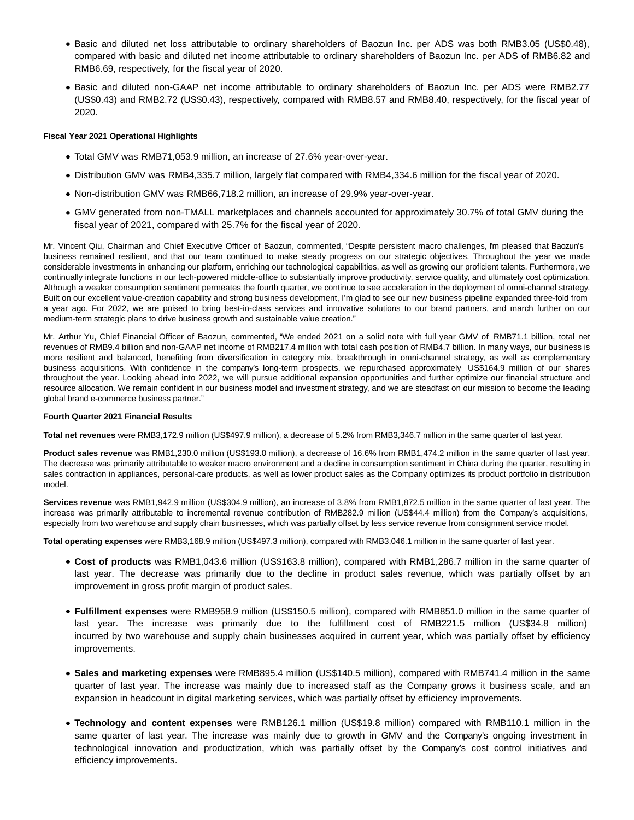- Basic and diluted net loss attributable to ordinary shareholders of Baozun Inc. per ADS was both RMB3.05 (US\$0.48), compared with basic and diluted net income attributable to ordinary shareholders of Baozun Inc. per ADS of RMB6.82 and RMB6.69, respectively, for the fiscal year of 2020.
- Basic and diluted non-GAAP net income attributable to ordinary shareholders of Baozun Inc. per ADS were RMB2.77 (US\$0.43) and RMB2.72 (US\$0.43), respectively, compared with RMB8.57 and RMB8.40, respectively, for the fiscal year of 2020.

## **Fiscal Year 2021 Operational Highlights**

- Total GMV was RMB71,053.9 million, an increase of 27.6% year-over-year.
- Distribution GMV was RMB4,335.7 million, largely flat compared with RMB4,334.6 million for the fiscal year of 2020.
- Non-distribution GMV was RMB66,718.2 million, an increase of 29.9% year-over-year.
- GMV generated from non-TMALL marketplaces and channels accounted for approximately 30.7% of total GMV during the fiscal year of 2021, compared with 25.7% for the fiscal year of 2020.

Mr. Vincent Qiu, Chairman and Chief Executive Officer of Baozun, commented, "Despite persistent macro challenges, I'm pleased that Baozun's business remained resilient, and that our team continued to make steady progress on our strategic objectives. Throughout the year we made considerable investments in enhancing our platform, enriching our technological capabilities, as well as growing our proficient talents. Furthermore, we continually integrate functions in our tech-powered middle-office to substantially improve productivity, service quality, and ultimately cost optimization. Although a weaker consumption sentiment permeates the fourth quarter, we continue to see acceleration in the deployment of omni-channel strategy. Built on our excellent value-creation capability and strong business development, I'm glad to see our new business pipeline expanded three-fold from a year ago. For 2022, we are poised to bring best-in-class services and innovative solutions to our brand partners, and march further on our medium-term strategic plans to drive business growth and sustainable value creation."

Mr. Arthur Yu, Chief Financial Officer of Baozun, commented, "We ended 2021 on a solid note with full year GMV of RMB71.1 billion, total net revenues of RMB9.4 billion and non-GAAP net income of RMB217.4 million with total cash position of RMB4.7 billion. In many ways, our business is more resilient and balanced, benefiting from diversification in category mix, breakthrough in omni-channel strategy, as well as complementary business acquisitions. With confidence in the company's long-term prospects, we repurchased approximately US\$164.9 million of our shares throughout the year. Looking ahead into 2022, we will pursue additional expansion opportunities and further optimize our financial structure and resource allocation. We remain confident in our business model and investment strategy, and we are steadfast on our mission to become the leading global brand e-commerce business partner."

## **Fourth Quarter 2021 Financial Results**

**Total net revenues** were RMB3,172.9 million (US\$497.9 million), a decrease of 5.2% from RMB3,346.7 million in the same quarter of last year.

**Product sales revenue** was RMB1,230.0 million (US\$193.0 million), a decrease of 16.6% from RMB1,474.2 million in the same quarter of last year. The decrease was primarily attributable to weaker macro environment and a decline in consumption sentiment in China during the quarter, resulting in sales contraction in appliances, personal-care products, as well as lower product sales as the Company optimizes its product portfolio in distribution model.

**Services revenue** was RMB1,942.9 million (US\$304.9 million), an increase of 3.8% from RMB1,872.5 million in the same quarter of last year. The increase was primarily attributable to incremental revenue contribution of RMB282.9 million (US\$44.4 million) from the Company's acquisitions, especially from two warehouse and supply chain businesses, which was partially offset by less service revenue from consignment service model.

**Total operating expenses** were RMB3,168.9 million (US\$497.3 million), compared with RMB3,046.1 million in the same quarter of last year.

- **Cost of products** was RMB1,043.6 million (US\$163.8 million), compared with RMB1,286.7 million in the same quarter of last year. The decrease was primarily due to the decline in product sales revenue, which was partially offset by an improvement in gross profit margin of product sales.
- **Fulfillment expenses** were RMB958.9 million (US\$150.5 million), compared with RMB851.0 million in the same quarter of last year. The increase was primarily due to the fulfillment cost of RMB221.5 million (US\$34.8 million) incurred by two warehouse and supply chain businesses acquired in current year, which was partially offset by efficiency improvements.
- **Sales and marketing expenses** were RMB895.4 million (US\$140.5 million), compared with RMB741.4 million in the same quarter of last year. The increase was mainly due to increased staff as the Company grows it business scale, and an expansion in headcount in digital marketing services, which was partially offset by efficiency improvements.
- **Technology and content expenses** were RMB126.1 million (US\$19.8 million) compared with RMB110.1 million in the same quarter of last year. The increase was mainly due to growth in GMV and the Company's ongoing investment in technological innovation and productization, which was partially offset by the Company's cost control initiatives and efficiency improvements.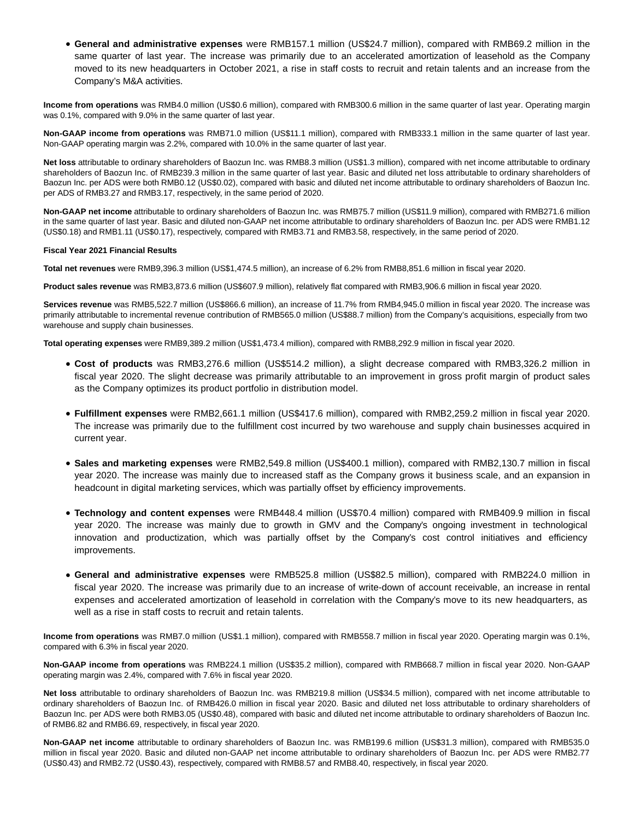**General and administrative expenses** were RMB157.1 million (US\$24.7 million), compared with RMB69.2 million in the same quarter of last year. The increase was primarily due to an accelerated amortization of leasehold as the Company moved to its new headquarters in October 2021, a rise in staff costs to recruit and retain talents and an increase from the Company's M&A activities.

**Income from operations** was RMB4.0 million (US\$0.6 million), compared with RMB300.6 million in the same quarter of last year. Operating margin was 0.1%, compared with 9.0% in the same quarter of last year.

**Non-GAAP income from operations** was RMB71.0 million (US\$11.1 million), compared with RMB333.1 million in the same quarter of last year. Non-GAAP operating margin was 2.2%, compared with 10.0% in the same quarter of last year.

**Net loss** attributable to ordinary shareholders of Baozun Inc. was RMB8.3 million (US\$1.3 million), compared with net income attributable to ordinary shareholders of Baozun Inc. of RMB239.3 million in the same quarter of last year. Basic and diluted net loss attributable to ordinary shareholders of Baozun Inc. per ADS were both RMB0.12 (US\$0.02), compared with basic and diluted net income attributable to ordinary shareholders of Baozun Inc. per ADS of RMB3.27 and RMB3.17, respectively, in the same period of 2020.

**Non-GAAP net income** attributable to ordinary shareholders of Baozun Inc. was RMB75.7 million (US\$11.9 million), compared with RMB271.6 million in the same quarter of last year. Basic and diluted non-GAAP net income attributable to ordinary shareholders of Baozun Inc. per ADS were RMB1.12 (US\$0.18) and RMB1.11 (US\$0.17), respectively, compared with RMB3.71 and RMB3.58, respectively, in the same period of 2020.

## **Fiscal Year 2021 Financial Results**

**Total net revenues** were RMB9,396.3 million (US\$1,474.5 million), an increase of 6.2% from RMB8,851.6 million in fiscal year 2020.

**Product sales revenue** was RMB3,873.6 million (US\$607.9 million), relatively flat compared with RMB3,906.6 million in fiscal year 2020.

**Services revenue** was RMB5,522.7 million (US\$866.6 million), an increase of 11.7% from RMB4,945.0 million in fiscal year 2020. The increase was primarily attributable to incremental revenue contribution of RMB565.0 million (US\$88.7 million) from the Company's acquisitions, especially from two warehouse and supply chain businesses.

**Total operating expenses** were RMB9,389.2 million (US\$1,473.4 million), compared with RMB8,292.9 million in fiscal year 2020.

- **Cost of products** was RMB3,276.6 million (US\$514.2 million), a slight decrease compared with RMB3,326.2 million in fiscal year 2020. The slight decrease was primarily attributable to an improvement in gross profit margin of product sales as the Company optimizes its product portfolio in distribution model.
- **Fulfillment expenses** were RMB2,661.1 million (US\$417.6 million), compared with RMB2,259.2 million in fiscal year 2020. The increase was primarily due to the fulfillment cost incurred by two warehouse and supply chain businesses acquired in current year.
- **Sales and marketing expenses** were RMB2,549.8 million (US\$400.1 million), compared with RMB2,130.7 million in fiscal year 2020. The increase was mainly due to increased staff as the Company grows it business scale, and an expansion in headcount in digital marketing services, which was partially offset by efficiency improvements.
- **Technology and content expenses** were RMB448.4 million (US\$70.4 million) compared with RMB409.9 million in fiscal year 2020. The increase was mainly due to growth in GMV and the Company's ongoing investment in technological innovation and productization, which was partially offset by the Company's cost control initiatives and efficiency improvements.
- **General and administrative expenses** were RMB525.8 million (US\$82.5 million), compared with RMB224.0 million in fiscal year 2020. The increase was primarily due to an increase of write-down of account receivable, an increase in rental expenses and accelerated amortization of leasehold in correlation with the Company's move to its new headquarters, as well as a rise in staff costs to recruit and retain talents.

**Income from operations** was RMB7.0 million (US\$1.1 million), compared with RMB558.7 million in fiscal year 2020. Operating margin was 0.1%, compared with 6.3% in fiscal year 2020.

**Non-GAAP income from operations** was RMB224.1 million (US\$35.2 million), compared with RMB668.7 million in fiscal year 2020. Non-GAAP operating margin was 2.4%, compared with 7.6% in fiscal year 2020.

**Net loss** attributable to ordinary shareholders of Baozun Inc. was RMB219.8 million (US\$34.5 million), compared with net income attributable to ordinary shareholders of Baozun Inc. of RMB426.0 million in fiscal year 2020. Basic and diluted net loss attributable to ordinary shareholders of Baozun Inc. per ADS were both RMB3.05 (US\$0.48), compared with basic and diluted net income attributable to ordinary shareholders of Baozun Inc. of RMB6.82 and RMB6.69, respectively, in fiscal year 2020.

**Non-GAAP net income** attributable to ordinary shareholders of Baozun Inc. was RMB199.6 million (US\$31.3 million), compared with RMB535.0 million in fiscal year 2020. Basic and diluted non-GAAP net income attributable to ordinary shareholders of Baozun Inc. per ADS were RMB2.77 (US\$0.43) and RMB2.72 (US\$0.43), respectively, compared with RMB8.57 and RMB8.40, respectively, in fiscal year 2020.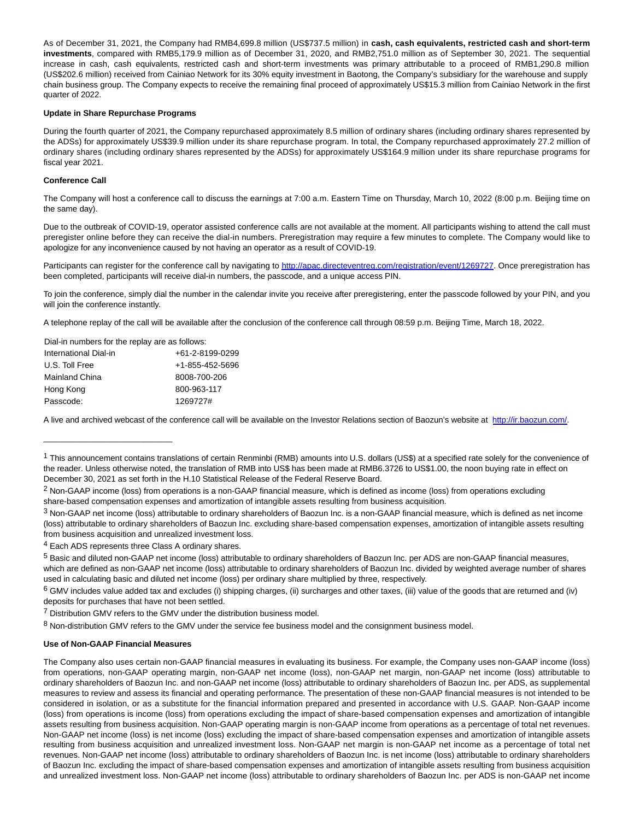As of December 31, 2021, the Company had RMB4,699.8 million (US\$737.5 million) in **cash, cash equivalents, restricted cash and short-term investments**, compared with RMB5,179.9 million as of December 31, 2020, and RMB2,751.0 million as of September 30, 2021. The sequential increase in cash, cash equivalents, restricted cash and short-term investments was primary attributable to a proceed of RMB1,290.8 million (US\$202.6 million) received from Cainiao Network for its 30% equity investment in Baotong, the Company's subsidiary for the warehouse and supply chain business group. The Company expects to receive the remaining final proceed of approximately US\$15.3 million from Cainiao Network in the first quarter of 2022.

## **Update in Share Repurchase Programs**

During the fourth quarter of 2021, the Company repurchased approximately 8.5 million of ordinary shares (including ordinary shares represented by the ADSs) for approximately US\$39.9 million under its share repurchase program. In total, the Company repurchased approximately 27.2 million of ordinary shares (including ordinary shares represented by the ADSs) for approximately US\$164.9 million under its share repurchase programs for fiscal year 2021.

## **Conference Call**

The Company will host a conference call to discuss the earnings at 7:00 a.m. Eastern Time on Thursday, March 10, 2022 (8:00 p.m. Beijing time on the same day).

Due to the outbreak of COVID-19, operator assisted conference calls are not available at the moment. All participants wishing to attend the call must preregister online before they can receive the dial-in numbers. Preregistration may require a few minutes to complete. The Company would like to apologize for any inconvenience caused by not having an operator as a result of COVID-19.

Participants can register for the conference call by navigating to [http://apac.directeventreg.com/registration/event/1269727.](https://www.globenewswire.com/Tracker?data=1zgBJwHkPMwyefwG_nqMHovPf_Y7Dxd0wX4K8BGPPoslm_aqDJODH2NprneTi0r7r-ZUrz33gledyi75PmthK0dCGBCH3BOwgnXAozN-ysyI9zayMRxjfmSmv_MUY_CGW9wUAi6dwU780dP5psCjDEwbXBIz5i-sXzib4CKcUisLNKm_o8ITXNDHemwfEQL_) Once preregistration has been completed, participants will receive dial-in numbers, the passcode, and a unique access PIN.

To join the conference, simply dial the number in the calendar invite you receive after preregistering, enter the passcode followed by your PIN, and you will join the conference instantly.

A telephone replay of the call will be available after the conclusion of the conference call through 08:59 p.m. Beijing Time, March 18, 2022.

Dial-in numbers for the replay are as follows:

 $\overline{\phantom{a}}$  , and the set of the set of the set of the set of the set of the set of the set of the set of the set of the set of the set of the set of the set of the set of the set of the set of the set of the set of the s

| International Dial-in | +61-2-8199-0299 |
|-----------------------|-----------------|
| U.S. Toll Free        | +1-855-452-5696 |
| Mainland China        | 8008-700-206    |
| Hong Kong             | 800-963-117     |
| Passcode:             | 1269727#        |

A live and archived webcast of the conference call will be available on the Investor Relations section of Baozun's website at [http://ir.baozun.com/.](https://www.globenewswire.com/Tracker?data=1zgBJwHkPMwyefwG_nqMHmFxQZH_RWS_wgY5SKICsrT5K9LdcrdbbZwarS2rxlyOzKH_L72o5_6Xnn7wzfYB0ADr_yDEIetVr4DEj85yjnA=)

4 Each ADS represents three Class A ordinary shares.

7 Distribution GMV refers to the GMV under the distribution business model.

8 Non-distribution GMV refers to the GMV under the service fee business model and the consignment business model.

## **Use of Non-GAAP Financial Measures**

<sup>&</sup>lt;sup>1</sup> This announcement contains translations of certain Renminbi (RMB) amounts into U.S. dollars (US\$) at a specified rate solely for the convenience of the reader. Unless otherwise noted, the translation of RMB into US\$ has been made at RMB6.3726 to US\$1.00, the noon buying rate in effect on December 30, 2021 as set forth in the H.10 Statistical Release of the Federal Reserve Board.

<sup>&</sup>lt;sup>2</sup> Non-GAAP income (loss) from operations is a non-GAAP financial measure, which is defined as income (loss) from operations excluding share-based compensation expenses and amortization of intangible assets resulting from business acquisition.

<sup>3</sup> Non-GAAP net income (loss) attributable to ordinary shareholders of Baozun Inc. is a non-GAAP financial measure, which is defined as net income (loss) attributable to ordinary shareholders of Baozun Inc. excluding share-based compensation expenses, amortization of intangible assets resulting from business acquisition and unrealized investment loss.

<sup>5</sup> Basic and diluted non-GAAP net income (loss) attributable to ordinary shareholders of Baozun Inc. per ADS are non-GAAP financial measures, which are defined as non-GAAP net income (loss) attributable to ordinary shareholders of Baozun Inc. divided by weighted average number of shares used in calculating basic and diluted net income (loss) per ordinary share multiplied by three, respectively.

 $6$  GMV includes value added tax and excludes (i) shipping charges, (ii) surcharges and other taxes, (iii) value of the goods that are returned and (iv) deposits for purchases that have not been settled.

The Company also uses certain non-GAAP financial measures in evaluating its business. For example, the Company uses non-GAAP income (loss) from operations, non-GAAP operating margin, non-GAAP net income (loss), non-GAAP net margin, non-GAAP net income (loss) attributable to ordinary shareholders of Baozun Inc. and non-GAAP net income (loss) attributable to ordinary shareholders of Baozun Inc. per ADS, as supplemental measures to review and assess its financial and operating performance. The presentation of these non-GAAP financial measures is not intended to be considered in isolation, or as a substitute for the financial information prepared and presented in accordance with U.S. GAAP. Non-GAAP income (loss) from operations is income (loss) from operations excluding the impact of share-based compensation expenses and amortization of intangible assets resulting from business acquisition. Non-GAAP operating margin is non-GAAP income from operations as a percentage of total net revenues. Non-GAAP net income (loss) is net income (loss) excluding the impact of share-based compensation expenses and amortization of intangible assets resulting from business acquisition and unrealized investment loss. Non-GAAP net margin is non-GAAP net income as a percentage of total net revenues. Non-GAAP net income (loss) attributable to ordinary shareholders of Baozun Inc. is net income (loss) attributable to ordinary shareholders of Baozun Inc. excluding the impact of share-based compensation expenses and amortization of intangible assets resulting from business acquisition and unrealized investment loss. Non-GAAP net income (loss) attributable to ordinary shareholders of Baozun Inc. per ADS is non-GAAP net income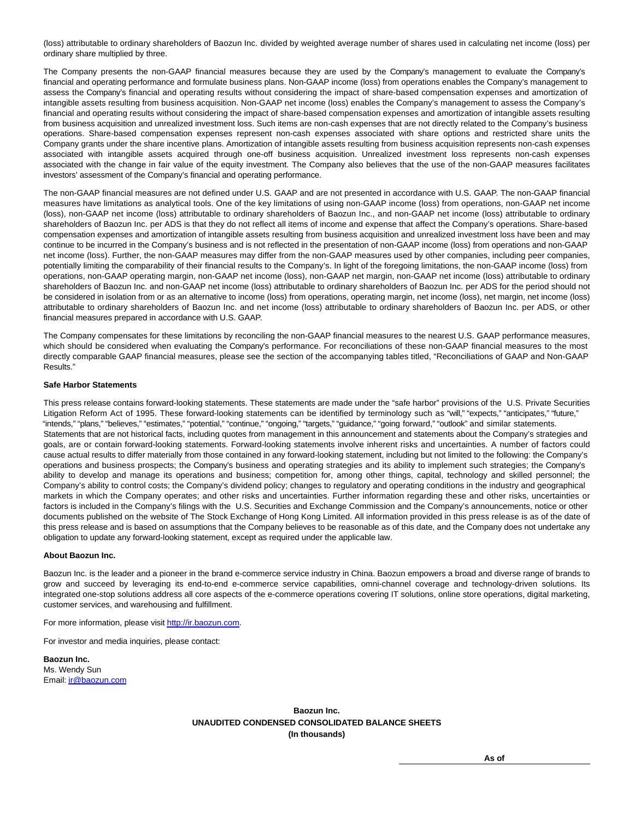(loss) attributable to ordinary shareholders of Baozun Inc. divided by weighted average number of shares used in calculating net income (loss) per ordinary share multiplied by three.

The Company presents the non-GAAP financial measures because they are used by the Company's management to evaluate the Company's financial and operating performance and formulate business plans. Non-GAAP income (loss) from operations enables the Company's management to assess the Company's financial and operating results without considering the impact of share-based compensation expenses and amortization of intangible assets resulting from business acquisition. Non-GAAP net income (loss) enables the Company's management to assess the Company's financial and operating results without considering the impact of share-based compensation expenses and amortization of intangible assets resulting from business acquisition and unrealized investment loss. Such items are non-cash expenses that are not directly related to the Company's business operations. Share-based compensation expenses represent non-cash expenses associated with share options and restricted share units the Company grants under the share incentive plans. Amortization of intangible assets resulting from business acquisition represents non-cash expenses associated with intangible assets acquired through one-off business acquisition. Unrealized investment loss represents non-cash expenses associated with the change in fair value of the equity investment. The Company also believes that the use of the non-GAAP measures facilitates investors' assessment of the Company's financial and operating performance.

The non-GAAP financial measures are not defined under U.S. GAAP and are not presented in accordance with U.S. GAAP. The non-GAAP financial measures have limitations as analytical tools. One of the key limitations of using non-GAAP income (loss) from operations, non-GAAP net income (loss), non-GAAP net income (loss) attributable to ordinary shareholders of Baozun Inc., and non-GAAP net income (loss) attributable to ordinary shareholders of Baozun Inc. per ADS is that they do not reflect all items of income and expense that affect the Company's operations. Share-based compensation expenses and amortization of intangible assets resulting from business acquisition and unrealized investment loss have been and may continue to be incurred in the Company's business and is not reflected in the presentation of non-GAAP income (loss) from operations and non-GAAP net income (loss). Further, the non-GAAP measures may differ from the non-GAAP measures used by other companies, including peer companies, potentially limiting the comparability of their financial results to the Company's. In light of the foregoing limitations, the non-GAAP income (loss) from operations, non-GAAP operating margin, non-GAAP net income (loss), non-GAAP net margin, non-GAAP net income (loss) attributable to ordinary shareholders of Baozun Inc. and non-GAAP net income (loss) attributable to ordinary shareholders of Baozun Inc. per ADS for the period should not be considered in isolation from or as an alternative to income (loss) from operations, operating margin, net income (loss), net margin, net income (loss) attributable to ordinary shareholders of Baozun Inc. and net income (loss) attributable to ordinary shareholders of Baozun Inc. per ADS, or other financial measures prepared in accordance with U.S. GAAP.

The Company compensates for these limitations by reconciling the non-GAAP financial measures to the nearest U.S. GAAP performance measures, which should be considered when evaluating the Company's performance. For reconciliations of these non-GAAP financial measures to the most directly comparable GAAP financial measures, please see the section of the accompanying tables titled, "Reconciliations of GAAP and Non-GAAP Results."

#### **Safe Harbor Statements**

This press release contains forward-looking statements. These statements are made under the "safe harbor" provisions of the U.S. Private Securities Litigation Reform Act of 1995. These forward-looking statements can be identified by terminology such as "will," "expects," "anticipates," "future," "intends," "plans," "believes," "estimates," "potential," "continue," "ongoing," "targets," "guidance," "going forward," "outlook" and similar statements. Statements that are not historical facts, including quotes from management in this announcement and statements about the Company's strategies and goals, are or contain forward-looking statements. Forward-looking statements involve inherent risks and uncertainties. A number of factors could cause actual results to differ materially from those contained in any forward-looking statement, including but not limited to the following: the Company's operations and business prospects; the Company's business and operating strategies and its ability to implement such strategies; the Company's ability to develop and manage its operations and business; competition for, among other things, capital, technology and skilled personnel; the Company's ability to control costs; the Company's dividend policy; changes to regulatory and operating conditions in the industry and geographical markets in which the Company operates; and other risks and uncertainties. Further information regarding these and other risks, uncertainties or factors is included in the Company's filings with the U.S. Securities and Exchange Commission and the Company's announcements, notice or other documents published on the website of The Stock Exchange of Hong Kong Limited. All information provided in this press release is as of the date of this press release and is based on assumptions that the Company believes to be reasonable as of this date, and the Company does not undertake any obligation to update any forward-looking statement, except as required under the applicable law.

## **About Baozun Inc.**

Baozun Inc. is the leader and a pioneer in the brand e-commerce service industry in China. Baozun empowers a broad and diverse range of brands to grow and succeed by leveraging its end-to-end e-commerce service capabilities, omni-channel coverage and technology-driven solutions. Its integrated one-stop solutions address all core aspects of the e-commerce operations covering IT solutions, online store operations, digital marketing, customer services, and warehousing and fulfillment.

For more information, please visi[t http://ir.baozun.com.](https://www.globenewswire.com/Tracker?data=1zgBJwHkPMwyefwG_nqMHmhGlKgYqnwquw_zGJ8jk9gI8WhQ9DGXyJAUN-J2vhgXhRzJnaFnO66VB7Iy1YHx4A==)

For investor and media inquiries, please contact:

**Baozun Inc.** Ms. Wendy Sun Email[: ir@baozun.com](https://www.globenewswire.com/Tracker?data=LoAg2G8r_Z3x7Sa9T-w15lJgo_QhvsIUWhzl2kqUvaiqJSZ4gOE57KqP4_RzyTiAwaViIza9Qhrkf3jg8iOuMg==)

> **Baozun Inc. UNAUDITED CONDENSED CONSOLIDATED BALANCE SHEETS (In thousands)**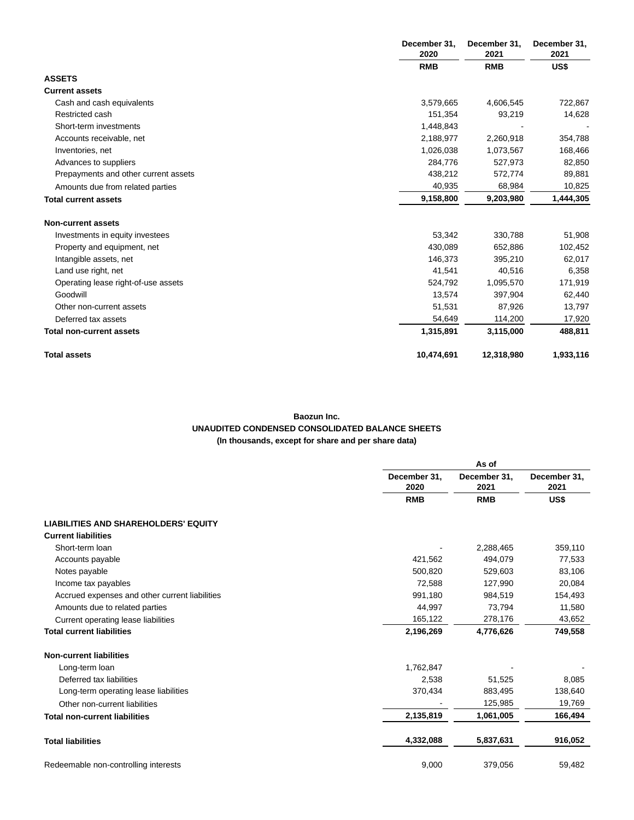|                                      | December 31,<br>2020 | December 31,<br>2021 | December 31,<br>2021 |
|--------------------------------------|----------------------|----------------------|----------------------|
|                                      | <b>RMB</b>           | <b>RMB</b>           | US\$                 |
| <b>ASSETS</b>                        |                      |                      |                      |
| <b>Current assets</b>                |                      |                      |                      |
| Cash and cash equivalents            | 3,579,665            | 4,606,545            | 722,867              |
| Restricted cash                      | 151,354              | 93,219               | 14,628               |
| Short-term investments               | 1,448,843            |                      |                      |
| Accounts receivable, net             | 2,188,977            | 2,260,918            | 354,788              |
| Inventories, net                     | 1,026,038            | 1,073,567            | 168,466              |
| Advances to suppliers                | 284,776              | 527,973              | 82,850               |
| Prepayments and other current assets | 438,212              | 572,774              | 89,881               |
| Amounts due from related parties     | 40,935               | 68,984               | 10,825               |
| <b>Total current assets</b>          | 9,158,800            | 9,203,980            | 1,444,305            |
| <b>Non-current assets</b>            |                      |                      |                      |
| Investments in equity investees      | 53,342               | 330,788              | 51,908               |
| Property and equipment, net          | 430,089              | 652.886              | 102,452              |
| Intangible assets, net               | 146,373              | 395,210              | 62,017               |
| Land use right, net                  | 41,541               | 40,516               | 6,358                |
| Operating lease right-of-use assets  | 524,792              | 1,095,570            | 171,919              |
| Goodwill                             | 13,574               | 397,904              | 62,440               |
| Other non-current assets             | 51,531               | 87,926               | 13,797               |
| Deferred tax assets                  | 54,649               | 114,200              | 17,920               |
| <b>Total non-current assets</b>      | 1,315,891            | 3,115,000            | 488,811              |
| <b>Total assets</b>                  | 10,474,691           | 12,318,980           | 1,933,116            |

## **Baozun Inc. UNAUDITED CONDENSED CONSOLIDATED BALANCE SHEETS (In thousands, except for share and per share data)**

|                                                |                      | As of                |                      |  |  |
|------------------------------------------------|----------------------|----------------------|----------------------|--|--|
|                                                | December 31,<br>2020 | December 31,<br>2021 | December 31,<br>2021 |  |  |
|                                                | <b>RMB</b>           | <b>RMB</b>           | US\$                 |  |  |
| <b>LIABILITIES AND SHAREHOLDERS' EQUITY</b>    |                      |                      |                      |  |  |
| <b>Current liabilities</b>                     |                      |                      |                      |  |  |
| Short-term loan                                |                      | 2,288,465            | 359,110              |  |  |
| Accounts payable                               | 421,562              | 494,079              | 77,533               |  |  |
| Notes payable                                  | 500,820              | 529,603              | 83,106               |  |  |
| Income tax payables                            | 72,588               | 127,990              | 20,084               |  |  |
| Accrued expenses and other current liabilities | 991,180              | 984,519              | 154,493              |  |  |
| Amounts due to related parties                 | 44,997               | 73,794               | 11,580               |  |  |
| Current operating lease liabilities            | 165,122              | 278,176              | 43,652               |  |  |
| <b>Total current liabilities</b>               | 2,196,269            | 4,776,626            | 749,558              |  |  |
| <b>Non-current liabilities</b>                 |                      |                      |                      |  |  |
| Long-term loan                                 | 1,762,847            |                      |                      |  |  |
| Deferred tax liabilities                       | 2,538                | 51,525               | 8,085                |  |  |
| Long-term operating lease liabilities          | 370,434              | 883,495              | 138,640              |  |  |
| Other non-current liabilities                  |                      | 125,985              | 19,769               |  |  |
| <b>Total non-current liabilities</b>           | 2,135,819            | 1,061,005            | 166,494              |  |  |
| <b>Total liabilities</b>                       | 4,332,088            | 5,837,631            | 916,052              |  |  |
| Redeemable non-controlling interests           | 9,000                | 379,056              | 59,482               |  |  |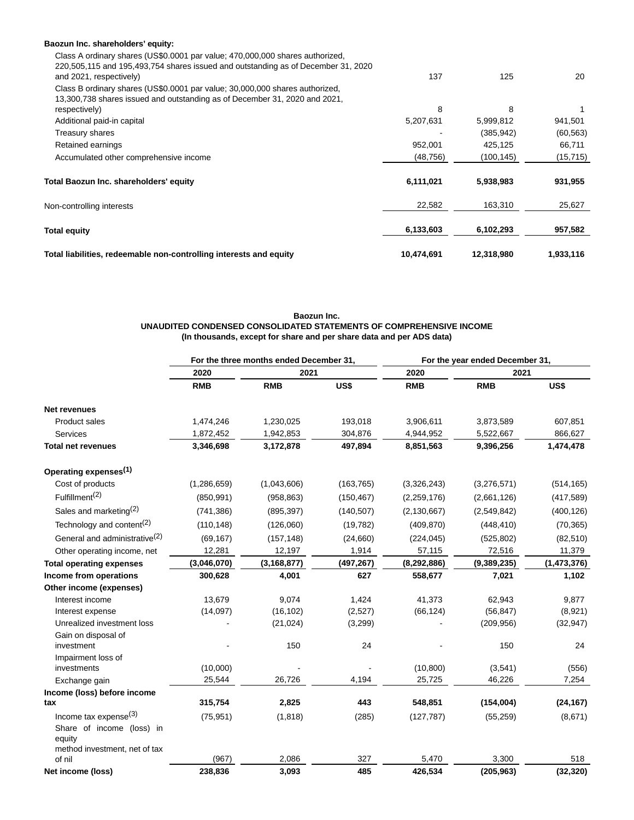## **Baozun Inc. shareholders' equity:**

| Total liabilities, redeemable non-controlling interests and equity                                                                                                                            | 10,474,691 | 12,318,980 | 1,933,116 |
|-----------------------------------------------------------------------------------------------------------------------------------------------------------------------------------------------|------------|------------|-----------|
| Total equity                                                                                                                                                                                  | 6,133,603  | 6,102,293  | 957,582   |
| Non-controlling interests                                                                                                                                                                     | 22,582     | 163,310    | 25,627    |
| Total Baozun Inc. shareholders' equity                                                                                                                                                        | 6,111,021  | 5,938,983  | 931,955   |
| Accumulated other comprehensive income                                                                                                                                                        | (48, 756)  | (100, 145) | (15, 715) |
| Retained earnings                                                                                                                                                                             | 952,001    | 425,125    | 66,711    |
| Treasury shares                                                                                                                                                                               |            | (385, 942) | (60, 563) |
| Additional paid-in capital                                                                                                                                                                    | 5,207,631  | 5,999,812  | 941,501   |
| Class B ordinary shares (US\$0.0001 par value; 30,000,000 shares authorized,<br>13,300,738 shares issued and outstanding as of December 31, 2020 and 2021,<br>respectively)                   | 8          | 8          |           |
| Class A ordinary shares (US\$0.0001 par value; 470,000,000 shares authorized,<br>220,505,115 and 195,493,754 shares issued and outstanding as of December 31, 2020<br>and 2021, respectively) | 137        | 125        | 20        |
|                                                                                                                                                                                               |            |            |           |

## **Baozun Inc. UNAUDITED CONDENSED CONSOLIDATED STATEMENTS OF COMPREHENSIVE INCOME (In thousands, except for share and per share data and per ADS data)**

|                                           | For the three months ended December 31, |               |            | For the year ended December 31, |             |             |
|-------------------------------------------|-----------------------------------------|---------------|------------|---------------------------------|-------------|-------------|
|                                           | 2020<br>2021                            |               |            | 2020                            | 2021        |             |
|                                           | <b>RMB</b>                              | <b>RMB</b>    | US\$       | <b>RMB</b>                      | <b>RMB</b>  | US\$        |
| <b>Net revenues</b>                       |                                         |               |            |                                 |             |             |
| <b>Product sales</b>                      | 1,474,246                               | 1,230,025     | 193,018    | 3,906,611                       | 3,873,589   | 607,851     |
| Services                                  | 1,872,452                               | 1,942,853     | 304,876    | 4,944,952                       | 5,522,667   | 866,627     |
| <b>Total net revenues</b>                 | 3,346,698                               | 3,172,878     | 497,894    | 8,851,563                       | 9,396,256   | 1,474,478   |
| Operating expenses <sup>(1)</sup>         |                                         |               |            |                                 |             |             |
| Cost of products                          | (1, 286, 659)                           | (1,043,606)   | (163, 765) | (3,326,243)                     | (3,276,571) | (514, 165)  |
| Fulfillment <sup>(2)</sup>                | (850, 991)                              | (958, 863)    | (150, 467) | (2,259,176)                     | (2,661,126) | (417, 589)  |
| Sales and marketing $(2)$                 | (741, 386)                              | (895, 397)    | (140, 507) | (2, 130, 667)                   | (2,549,842) | (400, 126)  |
| Technology and content <sup>(2)</sup>     | (110, 148)                              | (126,060)     | (19, 782)  | (409, 870)                      | (448, 410)  | (70, 365)   |
| General and administrative <sup>(2)</sup> | (69, 167)                               | (157, 148)    | (24,660)   | (224, 045)                      | (525, 802)  | (82, 510)   |
| Other operating income, net               | 12,281                                  | 12,197        | 1,914      | 57,115                          | 72,516      | 11,379      |
| <b>Total operating expenses</b>           | (3,046,070)                             | (3, 168, 877) | (497, 267) | (8, 292, 886)                   | (9,389,235) | (1,473,376) |
| Income from operations                    | 300,628                                 | 4,001         | 627        | 558,677                         | 7,021       | 1,102       |
| Other income (expenses)                   |                                         |               |            |                                 |             |             |
| Interest income                           | 13,679                                  | 9,074         | 1,424      | 41,373                          | 62,943      | 9,877       |
| Interest expense                          | (14,097)                                | (16, 102)     | (2,527)    | (66, 124)                       | (56, 847)   | (8,921)     |
| Unrealized investment loss                |                                         | (21, 024)     | (3,299)    |                                 | (209, 956)  | (32, 947)   |
| Gain on disposal of<br>investment         |                                         | 150           | 24         |                                 | 150         | 24          |
| Impairment loss of<br>investments         | (10,000)                                |               |            | (10, 800)                       | (3,541)     | (556)       |
| Exchange gain                             | 25,544                                  | 26,726        | 4,194      | 25,725                          | 46,226      | 7,254       |
| Income (loss) before income               |                                         |               |            |                                 |             |             |
| tax                                       | 315,754                                 | 2,825         | 443        | 548,851                         | (154,004)   | (24, 167)   |
| Income tax expense $(3)$                  | (75, 951)                               | (1, 818)      | (285)      | (127, 787)                      | (55, 259)   | (8,671)     |
| Share of income (loss) in<br>equity       |                                         |               |            |                                 |             |             |
| method investment, net of tax<br>of nil   | (967)                                   | 2,086         | 327        | 5,470                           | 3,300       | 518         |
| Net income (loss)                         | 238,836                                 | 3,093         | 485        | 426,534                         | (205, 963)  | (32, 320)   |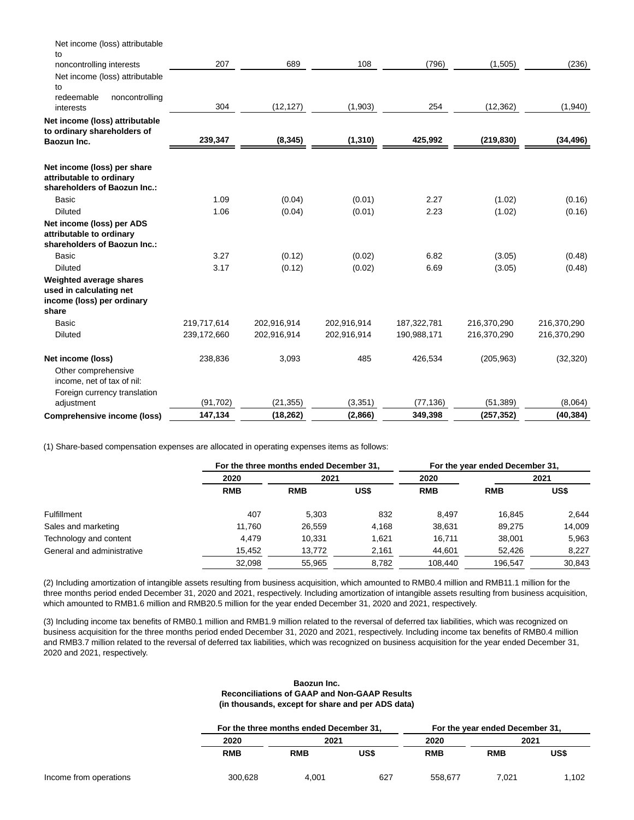| (91, 702)   | (21, 355)                    | (3, 351)                                          | (77, 136)                            | (51, 389)                    | (8,064)                                             |
|-------------|------------------------------|---------------------------------------------------|--------------------------------------|------------------------------|-----------------------------------------------------|
|             |                              |                                                   |                                      |                              |                                                     |
|             |                              |                                                   |                                      |                              |                                                     |
| 238,836     | 3,093                        | 485                                               | 426,534                              | (205, 963)                   | (32, 320)                                           |
| 239,172,660 | 202,916,914                  | 202,916,914                                       | 190,988,171                          | 216,370,290                  | 216,370,290                                         |
| 219,717,614 | 202,916,914                  | 202,916,914                                       | 187,322,781                          |                              | 216,370,290                                         |
|             |                              |                                                   |                                      |                              |                                                     |
|             |                              |                                                   |                                      |                              |                                                     |
|             |                              |                                                   |                                      |                              | (0.48)<br>(0.48)                                    |
|             |                              |                                                   |                                      |                              |                                                     |
|             |                              |                                                   |                                      |                              | (0.16)                                              |
|             |                              |                                                   |                                      |                              | (0.16)                                              |
|             |                              |                                                   |                                      |                              |                                                     |
| 239,347     | (8, 345)                     | (1, 310)                                          | 425,992                              | (219, 830)                   | (34, 496)                                           |
|             |                              |                                                   |                                      |                              |                                                     |
| 304         |                              | (1,903)                                           | 254                                  | (12, 362)                    | (1,940)                                             |
| 207         | 689                          | 108                                               | (796)                                | (1,505)                      | (236)                                               |
|             | 1.09<br>1.06<br>3.27<br>3.17 | (12, 127)<br>(0.04)<br>(0.04)<br>(0.12)<br>(0.12) | (0.01)<br>(0.01)<br>(0.02)<br>(0.02) | 2.27<br>2.23<br>6.82<br>6.69 | (1.02)<br>(1.02)<br>(3.05)<br>(3.05)<br>216,370,290 |

(1) Share-based compensation expenses are allocated in operating expenses items as follows:

|                            |            | For the three months ended December 31. |       |            | For the year ended December 31, |        |
|----------------------------|------------|-----------------------------------------|-------|------------|---------------------------------|--------|
|                            | 2020       | 2021                                    |       | 2020       | 2021                            |        |
|                            | <b>RMB</b> | <b>RMB</b>                              | US\$  | <b>RMB</b> | <b>RMB</b>                      | US\$   |
| <b>Fulfillment</b>         | 407        | 5.303                                   | 832   | 8.497      | 16.845                          | 2.644  |
| Sales and marketing        | 11.760     | 26,559                                  | 4.168 | 38,631     | 89.275                          | 14,009 |
| Technology and content     | 4.479      | 10.331                                  | 1.621 | 16.711     | 38.001                          | 5,963  |
| General and administrative | 15,452     | 13,772                                  | 2,161 | 44,601     | 52,426                          | 8,227  |
|                            | 32,098     | 55.965                                  | 8.782 | 108.440    | 196.547                         | 30.843 |

(2) Including amortization of intangible assets resulting from business acquisition, which amounted to RMB0.4 million and RMB11.1 million for the three months period ended December 31, 2020 and 2021, respectively. Including amortization of intangible assets resulting from business acquisition, which amounted to RMB1.6 million and RMB20.5 million for the year ended December 31, 2020 and 2021, respectively.

(3) Including income tax benefits of RMB0.1 million and RMB1.9 million related to the reversal of deferred tax liabilities, which was recognized on business acquisition for the three months period ended December 31, 2020 and 2021, respectively. Including income tax benefits of RMB0.4 million and RMB3.7 million related to the reversal of deferred tax liabilities, which was recognized on business acquisition for the year ended December 31, 2020 and 2021, respectively.

## **Baozun Inc. Reconciliations of GAAP and Non-GAAP Results (in thousands, except for share and per ADS data)**

|                        |            | For the three months ended December 31, |      |            | For the year ended December 31, |       |
|------------------------|------------|-----------------------------------------|------|------------|---------------------------------|-------|
|                        | 2020       | 2021                                    |      | 2020       | 2021                            |       |
|                        | <b>RMB</b> | <b>RMB</b>                              | US\$ | <b>RMB</b> | <b>RMB</b>                      | US\$  |
| Income from operations | 300.628    | 4.001                                   | 627  | 558.677    | 7.021                           | 1.102 |